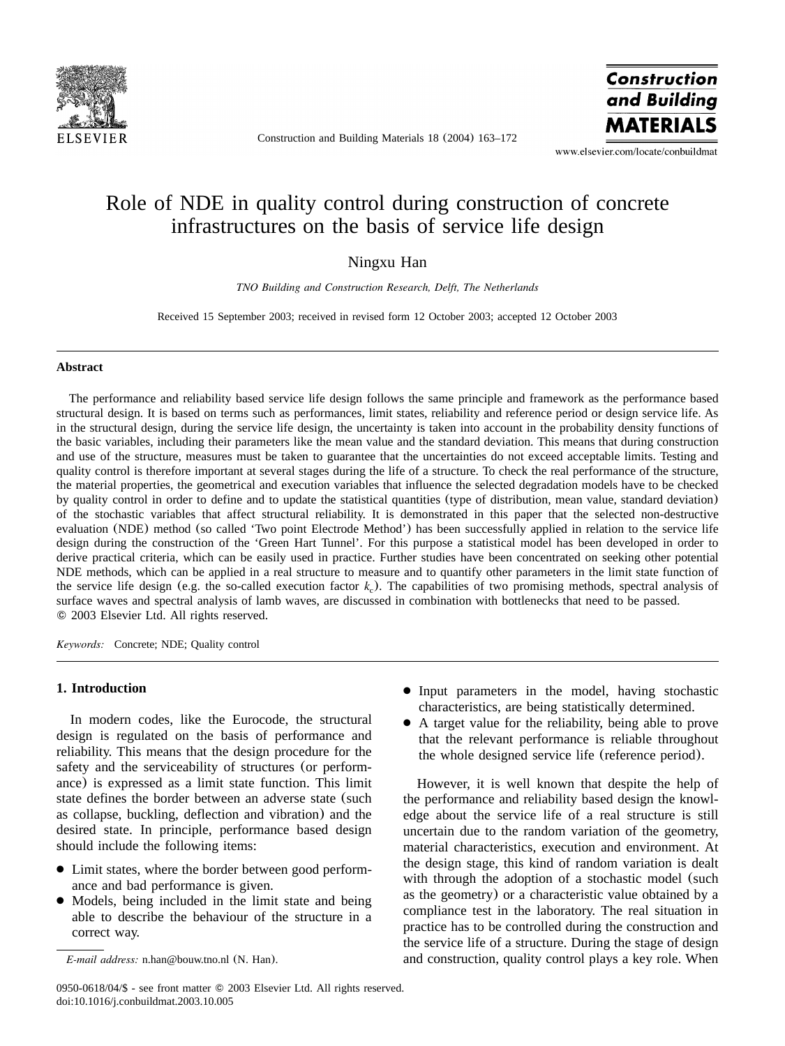

Construction and Building Materials 18 (2004) 163–172

Construction and Building **MATERIALS** 

www.elsevier.com/locate/conbuildmat

## Role of NDE in quality control during construction of concrete infrastructures on the basis of service life design

### Ningxu Han

*TNO Building and Construction Research, Delft, The Netherlands*

Received 15 September 2003; received in revised form 12 October 2003; accepted 12 October 2003

#### **Abstract**

The performance and reliability based service life design follows the same principle and framework as the performance based structural design. It is based on terms such as performances, limit states, reliability and reference period or design service life. As in the structural design, during the service life design, the uncertainty is taken into account in the probability density functions of the basic variables, including their parameters like the mean value and the standard deviation. This means that during construction and use of the structure, measures must be taken to guarantee that the uncertainties do not exceed acceptable limits. Testing and quality control is therefore important at several stages during the life of a structure. To check the real performance of the structure, the material properties, the geometrical and execution variables that influence the selected degradation models have to be checked by quality control in order to define and to update the statistical quantities (type of distribution, mean value, standard deviation) of the stochastic variables that affect structural reliability. It is demonstrated in this paper that the selected non-destructive evaluation (NDE) method (so called 'Two point Electrode Method') has been successfully applied in relation to the service life design during the construction of the 'Green Hart Tunnel'. For this purpose a statistical model has been developed in order to derive practical criteria, which can be easily used in practice. Further studies have been concentrated on seeking other potential NDE methods, which can be applied in a real structure to measure and to quantify other parameters in the limit state function of the service life design (e.g. the so-called execution factor  $k<sub>c</sub>$ ). The capabilities of two promising methods, spectral analysis of surface waves and spectral analysis of lamb waves, are discussed in combination with bottlenecks that need to be passed. 2003 Elsevier Ltd. All rights reserved.

*Keywords:* Concrete; NDE; Quality control

#### **1. Introduction**

In modern codes, like the Eurocode, the structural design is regulated on the basis of performance and reliability. This means that the design procedure for the safety and the serviceability of structures (or performance) is expressed as a limit state function. This limit state defines the border between an adverse state (such as collapse, buckling, deflection and vibration) and the desired state. In principle, performance based design should include the following items:

- Limit states, where the border between good performance and bad performance is given.
- Models, being included in the limit state and being able to describe the behaviour of the structure in a correct way.
- Input parameters in the model, having stochastic characteristics, are being statistically determined.
- A target value for the reliability, being able to prove that the relevant performance is reliable throughout the whole designed service life (reference period).

However, it is well known that despite the help of the performance and reliability based design the knowledge about the service life of a real structure is still uncertain due to the random variation of the geometry, material characteristics, execution and environment. At the design stage, this kind of random variation is dealt with through the adoption of a stochastic model (such as the geometry) or a characteristic value obtained by a compliance test in the laboratory. The real situation in practice has to be controlled during the construction and the service life of a structure. During the stage of design and construction, quality control plays a key role. When

*E-mail address:* n.han@bouw.tno.nl (N. Han).

<sup>0950-0618/04/\$ -</sup> see front matter © 2003 Elsevier Ltd. All rights reserved. doi:10.1016/j.conbuildmat.2003.10.005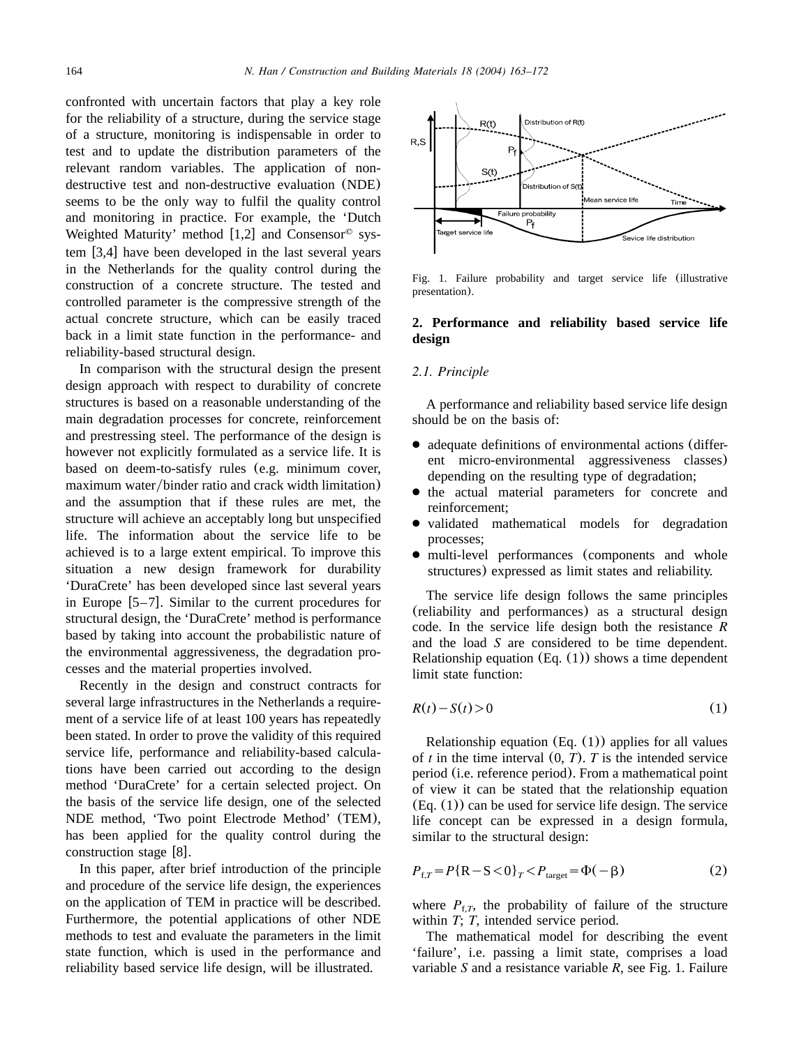confronted with uncertain factors that play a key role for the reliability of a structure, during the service stage of a structure, monitoring is indispensable in order to test and to update the distribution parameters of the relevant random variables. The application of nondestructive test and non-destructive evaluation (NDE) seems to be the only way to fulfil the quality control and monitoring in practice. For example, the 'Dutch Weighted Maturity' method [[1,2](#page--1-0)] and Consensor<sup> $\circ$ </sup> system  $[3,4]$  $[3,4]$  $[3,4]$  have been developed in the last several years in the Netherlands for the quality control during the construction of a concrete structure. The tested and controlled parameter is the compressive strength of the actual concrete structure, which can be easily traced back in a limit state function in the performance- and reliability-based structural design.

In comparison with the structural design the present design approach with respect to durability of concrete structures is based on a reasonable understanding of the main degradation processes for concrete, reinforcement and prestressing steel. The performance of the design is however not explicitly formulated as a service life. It is based on deem-to-satisfy rules (e.g. minimum cover, maximum water/binder ratio and crack width limitation) and the assumption that if these rules are met, the structure will achieve an acceptably long but unspecified life. The information about the service life to be achieved is to a large extent empirical. To improve this situation a new design framework for durability 'DuraCrete' has been developed since last several years in Europe  $[5-7]$ . Similar to the current procedures for structural design, the 'DuraCrete' method is performance based by taking into account the probabilistic nature of the environmental aggressiveness, the degradation processes and the material properties involved.

Recently in the design and construct contracts for several large infrastructures in the Netherlands a requirement of a service life of at least 100 years has repeatedly been stated. In order to prove the validity of this required service life, performance and reliability-based calculations have been carried out according to the design method 'DuraCrete' for a certain selected project. On the basis of the service life design, one of the selected NDE method, 'Two point Electrode Method' (TEM), has been applied for the quality control during the construction stage  $[8]$  $[8]$  $[8]$ .

In this paper, after brief introduction of the principle and procedure of the service life design, the experiences on the application of TEM in practice will be described. Furthermore, the potential applications of other NDE methods to test and evaluate the parameters in the limit state function, which is used in the performance and reliability based service life design, will be illustrated.



Fig. 1. Failure probability and target service life (illustrative presentation).

#### **2. Performance and reliability based service life design**

#### *2.1. Principle*

A performance and reliability based service life design should be on the basis of:

- adequate definitions of environmental actions (different micro-environmental aggressiveness classes) depending on the resulting type of degradation;
- the actual material parameters for concrete and reinforcement;
- validated mathematical models for degradation processes;
- multi-level performances (components and whole structures) expressed as limit states and reliability.

The service life design follows the same principles (reliability and performances) as a structural design code. In the service life design both the resistance *R* and the load *S* are considered to be time dependent. Relationship equation  $(Eq. (1))$  shows a time dependent limit state function:

$$
R(t) - S(t) > 0 \tag{1}
$$

Relationship equation  $(Eq. (1))$  applies for all values of  $t$  in the time interval  $(0, T)$ .  $T$  is the intended service period (i.e. reference period). From a mathematical point of view it can be stated that the relationship equation (Eq. (1)) can be used for service life design. The service life concept can be expressed in a design formula, similar to the structural design:

$$
P_{f,T} = P\{R - S < 0\}_T < P_{\text{target}} = \Phi(-\beta) \tag{2}
$$

where  $P_{f,T}$ , the probability of failure of the structure within *T*; *T*, intended service period.

The mathematical model for describing the event 'failure', i.e. passing a limit state, comprises a load variable *S* and a resistance variable *R*, see Fig. 1. Failure